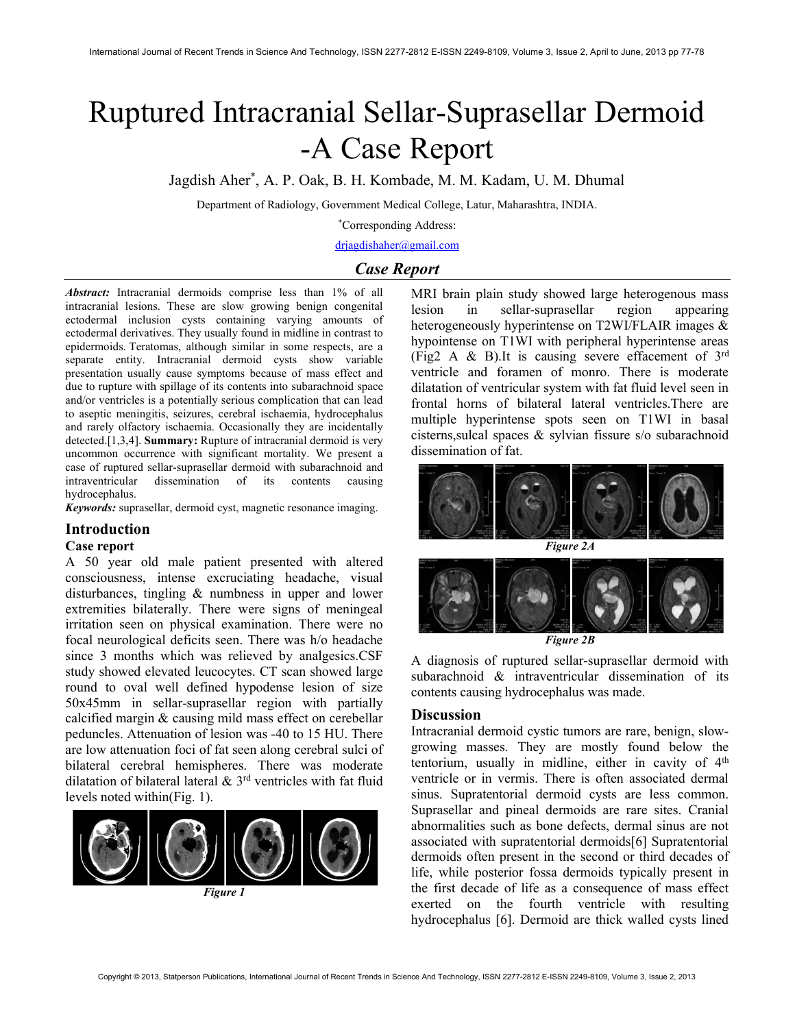# Ruptured Intracranial Sellar-Suprasellar Dermoid -A Case Report

Jagdish Aher\* , A. P. Oak, B. H. Kombade, M. M. Kadam, U. M. Dhumal

Department of Radiology, Government Medical College, Latur, Maharashtra, INDIA.

\*Corresponding Address:

drjagdishaher@gmail.com

## Case Report

Abstract: Intracranial dermoids comprise less than 1% of all intracranial lesions. These are slow growing benign congenital ectodermal inclusion cysts containing varying amounts of ectodermal derivatives. They usually found in midline in contrast to epidermoids. Teratomas, although similar in some respects, are a separate entity. Intracranial dermoid cysts show variable presentation usually cause symptoms because of mass effect and due to rupture with spillage of its contents into subarachnoid space and/or ventricles is a potentially serious complication that can lead to aseptic meningitis, seizures, cerebral ischaemia, hydrocephalus and rarely olfactory ischaemia. Occasionally they are incidentally detected.[1,3,4]. Summary: Rupture of intracranial dermoid is very uncommon occurrence with significant mortality. We present a case of ruptured sellar-suprasellar dermoid with subarachnoid and intraventricular dissemination of its contents causing hydrocephalus.

Keywords: suprasellar, dermoid cyst, magnetic resonance imaging.

### Introduction

### Case report

A 50 year old male patient presented with altered consciousness, intense excruciating headache, visual disturbances, tingling & numbness in upper and lower extremities bilaterally. There were signs of meningeal irritation seen on physical examination. There were no focal neurological deficits seen. There was h/o headache since 3 months which was relieved by analgesics.CSF study showed elevated leucocytes. CT scan showed large round to oval well defined hypodense lesion of size 50x45mm in sellar-suprasellar region with partially calcified margin & causing mild mass effect on cerebellar peduncles. Attenuation of lesion was -40 to 15 HU. There are low attenuation foci of fat seen along cerebral sulci of bilateral cerebral hemispheres. There was moderate dilatation of bilateral lateral  $\&$  3<sup>rd</sup> ventricles with fat fluid levels noted within(Fig. 1).



Figure 1

MRI brain plain study showed large heterogenous mass lesion in sellar-suprasellar region appearing heterogeneously hyperintense on T2WI/FLAIR images & hypointense on T1WI with peripheral hyperintense areas (Fig2 A & B).It is causing severe effacement of 3rd ventricle and foramen of monro. There is moderate dilatation of ventricular system with fat fluid level seen in frontal horns of bilateral lateral ventricles.There are multiple hyperintense spots seen on T1WI in basal cisterns,sulcal spaces & sylvian fissure s/o subarachnoid dissemination of fat.



Figure 2A



Figure 2B

A diagnosis of ruptured sellar-suprasellar dermoid with subarachnoid & intraventricular dissemination of its contents causing hydrocephalus was made.

#### **Discussion**

Intracranial dermoid cystic tumors are rare, benign, slowgrowing masses. They are mostly found below the tentorium, usually in midline, either in cavity of  $4<sup>th</sup>$ ventricle or in vermis. There is often associated dermal sinus. Supratentorial dermoid cysts are less common. Suprasellar and pineal dermoids are rare sites. Cranial abnormalities such as bone defects, dermal sinus are not associated with supratentorial dermoids[6] Supratentorial dermoids often present in the second or third decades of life, while posterior fossa dermoids typically present in the first decade of life as a consequence of mass effect exerted on the fourth ventricle with resulting hydrocephalus [6]. Dermoid are thick walled cysts lined